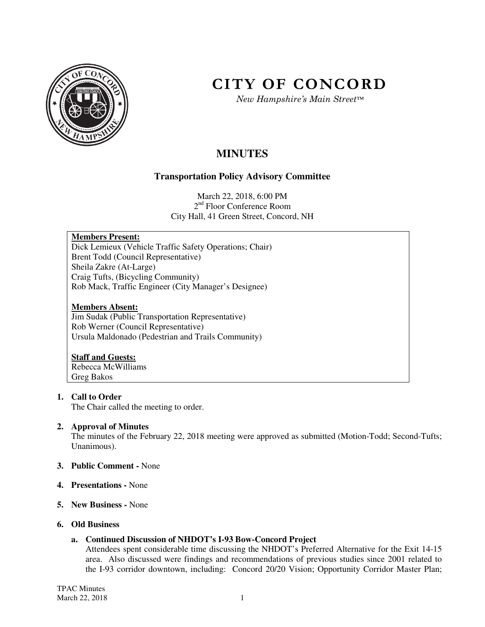

# **CITY OF CONCORD**

*New Hampshire's Main Street™*

# **MINUTES**

# **Transportation Policy Advisory Committee**

March 22, 2018, 6:00 PM 2<sup>nd</sup> Floor Conference Room City Hall, 41 Green Street, Concord, NH

# **Members Present:**

Dick Lemieux (Vehicle Traffic Safety Operations; Chair) Brent Todd (Council Representative) Sheila Zakre (At-Large) Craig Tufts, (Bicycling Community) Rob Mack, Traffic Engineer (City Manager's Designee)

#### **Members Absent:**

Jim Sudak (Public Transportation Representative) Rob Werner (Council Representative) Ursula Maldonado (Pedestrian and Trails Community)

#### **Staff and Guests:**

Rebecca McWilliams Greg Bakos

# **1. Call to Order**

The Chair called the meeting to order.

#### **2. Approval of Minutes**

The minutes of the February 22, 2018 meeting were approved as submitted (Motion-Todd; Second-Tufts; Unanimous).

#### **3. Public Comment -** None

- **4. Presentations** None
- **5. New Business** None

#### **6. Old Business**

# **a. Continued Discussion of NHDOT's I-93 Bow-Concord Project**

Attendees spent considerable time discussing the NHDOT's Preferred Alternative for the Exit 14-15 area. Also discussed were findings and recommendations of previous studies since 2001 related to the I-93 corridor downtown, including: Concord 20/20 Vision; Opportunity Corridor Master Plan;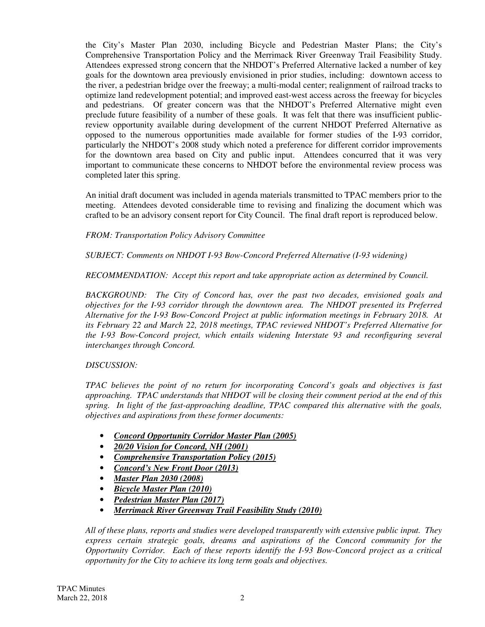the City's Master Plan 2030, including Bicycle and Pedestrian Master Plans; the City's Comprehensive Transportation Policy and the Merrimack River Greenway Trail Feasibility Study. Attendees expressed strong concern that the NHDOT's Preferred Alternative lacked a number of key goals for the downtown area previously envisioned in prior studies, including: downtown access to the river, a pedestrian bridge over the freeway; a multi-modal center; realignment of railroad tracks to optimize land redevelopment potential; and improved east-west access across the freeway for bicycles and pedestrians. Of greater concern was that the NHDOT's Preferred Alternative might even preclude future feasibility of a number of these goals. It was felt that there was insufficient publicreview opportunity available during development of the current NHDOT Preferred Alternative as opposed to the numerous opportunities made available for former studies of the I-93 corridor, particularly the NHDOT's 2008 study which noted a preference for different corridor improvements for the downtown area based on City and public input. Attendees concurred that it was very important to communicate these concerns to NHDOT before the environmental review process was completed later this spring.

An initial draft document was included in agenda materials transmitted to TPAC members prior to the meeting. Attendees devoted considerable time to revising and finalizing the document which was crafted to be an advisory consent report for City Council. The final draft report is reproduced below.

*FROM: Transportation Policy Advisory Committee* 

*SUBJECT: Comments on NHDOT I-93 Bow-Concord Preferred Alternative (I-93 widening)* 

*RECOMMENDATION: Accept this report and take appropriate action as determined by Council.* 

*BACKGROUND: The City of Concord has, over the past two decades, envisioned goals and objectives for the I-93 corridor through the downtown area. The NHDOT presented its Preferred Alternative for the I-93 Bow-Concord Project at public information meetings in February 2018. At its February 22 and March 22, 2018 meetings, TPAC reviewed NHDOT's Preferred Alternative for the I-93 Bow-Concord project, which entails widening Interstate 93 and reconfiguring several interchanges through Concord.* 

# *DISCUSSION:*

*TPAC believes the point of no return for incorporating Concord's goals and objectives is fast approaching. TPAC understands that NHDOT will be closing their comment period at the end of this spring. In light of the fast-approaching deadline, TPAC compared this alternative with the goals, objectives and aspirations from these former documents:* 

- *Concord Opportunity Corridor Master Plan (2005)*
- *20/20 Vision for Concord, NH (2001)*
- *Comprehensive Transportation Policy (2015)*
- *Concord's New Front Door (2013)*
- *Master Plan 2030 (2008)*
- *Bicycle Master Plan (2010)*
- *Pedestrian Master Plan (2017)*
- *Merrimack River Greenway Trail Feasibility Study (2010)*

*All of these plans, reports and studies were developed transparently with extensive public input. They express certain strategic goals, dreams and aspirations of the Concord community for the Opportunity Corridor. Each of these reports identify the I-93 Bow-Concord project as a critical opportunity for the City to achieve its long term goals and objectives.*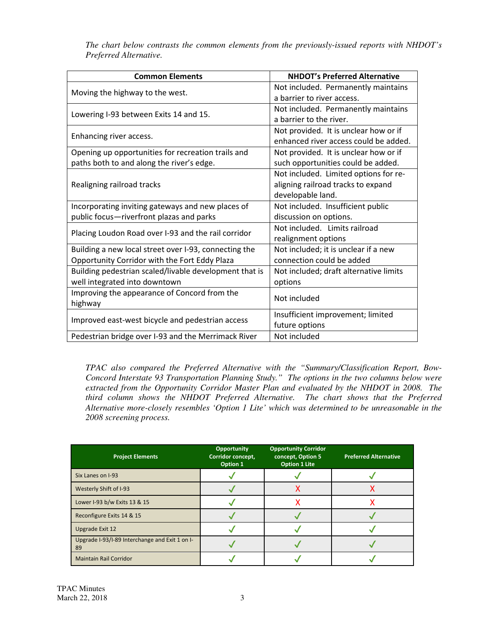*The chart below contrasts the common elements from the previously-issued reports with NHDOT's Preferred Alternative.* 

| <b>Common Elements</b>                                 | <b>NHDOT's Preferred Alternative</b>   |  |
|--------------------------------------------------------|----------------------------------------|--|
|                                                        | Not included. Permanently maintains    |  |
| Moving the highway to the west.                        | a barrier to river access.             |  |
|                                                        | Not included. Permanently maintains    |  |
| Lowering I-93 between Exits 14 and 15.                 | a barrier to the river.                |  |
|                                                        | Not provided. It is unclear how or if  |  |
| Enhancing river access.                                | enhanced river access could be added.  |  |
| Opening up opportunities for recreation trails and     | Not provided. It is unclear how or if  |  |
| paths both to and along the river's edge.              | such opportunities could be added.     |  |
|                                                        | Not included. Limited options for re-  |  |
| Realigning railroad tracks                             | aligning railroad tracks to expand     |  |
|                                                        | developable land.                      |  |
| Incorporating inviting gateways and new places of      | Not included. Insufficient public      |  |
| public focus-riverfront plazas and parks               | discussion on options.                 |  |
| Placing Loudon Road over I-93 and the rail corridor    | Not included. Limits railroad          |  |
|                                                        | realignment options                    |  |
| Building a new local street over I-93, connecting the  | Not included; it is unclear if a new   |  |
| Opportunity Corridor with the Fort Eddy Plaza          | connection could be added              |  |
| Building pedestrian scaled/livable development that is | Not included; draft alternative limits |  |
| well integrated into downtown                          | options                                |  |
| Improving the appearance of Concord from the           | Not included                           |  |
| highway                                                |                                        |  |
| Improved east-west bicycle and pedestrian access       | Insufficient improvement; limited      |  |
|                                                        | future options                         |  |
| Pedestrian bridge over I-93 and the Merrimack River    | Not included                           |  |

*TPAC also compared the Preferred Alternative with the "Summary/Classification Report, Bow-Concord Interstate 93 Transportation Planning Study." The options in the two columns below were extracted from the Opportunity Corridor Master Plan and evaluated by the NHDOT in 2008. The third column shows the NHDOT Preferred Alternative. The chart shows that the Preferred Alternative more-closely resembles 'Option 1 Lite' which was determined to be unreasonable in the 2008 screening process.* 

| <b>Project Elements</b>                              | <b>Opportunity</b><br>Corridor concept,<br>Option 1 | <b>Opportunity Corridor</b><br>concept, Option 5<br><b>Option 1 Lite</b> | <b>Preferred Alternative</b> |
|------------------------------------------------------|-----------------------------------------------------|--------------------------------------------------------------------------|------------------------------|
| Six Lanes on I-93                                    |                                                     |                                                                          |                              |
| Westerly Shift of I-93                               |                                                     |                                                                          |                              |
| Lower I-93 b/w Exits 13 & 15                         |                                                     |                                                                          |                              |
| Reconfigure Exits 14 & 15                            |                                                     |                                                                          |                              |
| Upgrade Exit 12                                      |                                                     |                                                                          |                              |
| Upgrade I-93/I-89 Interchange and Exit 1 on I-<br>89 |                                                     |                                                                          |                              |
| <b>Maintain Rail Corridor</b>                        |                                                     |                                                                          |                              |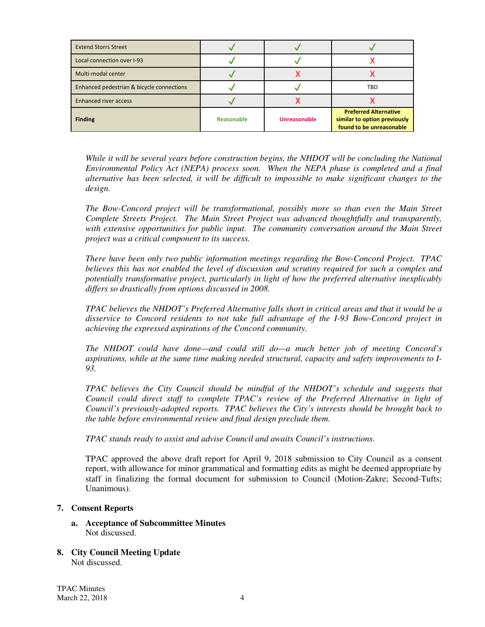| <b>Extend Storrs Street</b>               |            |              |                                                                                          |
|-------------------------------------------|------------|--------------|------------------------------------------------------------------------------------------|
| Local connection over I-93                |            |              |                                                                                          |
| Multi-modal center                        |            |              |                                                                                          |
| Enhanced pedestrian & bicycle connections |            |              | TBD                                                                                      |
| <b>Enhanced river access</b>              |            |              |                                                                                          |
| <b>Finding</b>                            | Reasonable | Unreasonable | <b>Preferred Alternative</b><br>similar to option previously<br>found to be unreasonable |

*While it will be several years before construction begins, the NHDOT will be concluding the National Environmental Policy Act (NEPA) process soon. When the NEPA phase is completed and a final alternative has been selected, it will be difficult to impossible to make significant changes to the design.* 

*The Bow-Concord project will be transformational, possibly more so than even the Main Street Complete Streets Project. The Main Street Project was advanced thoughtfully and transparently, with extensive opportunities for public input. The community conversation around the Main Street project was a critical component to its success.* 

*There have been only two public information meetings regarding the Bow-Concord Project. TPAC believes this has not enabled the level of discussion and scrutiny required for such a complex and potentially transformative project, particularly in light of how the preferred alternative inexplicably differs so drastically from options discussed in 2008.* 

*TPAC believes the NHDOT's Preferred Alternative falls short in critical areas and that it would be a disservice to Concord residents to not take full advantage of the I-93 Bow-Concord project in achieving the expressed aspirations of the Concord community.* 

*The NHDOT could have done—and could still do—a much better job of meeting Concord's aspirations, while at the same time making needed structural, capacity and safety improvements to I-93.* 

*TPAC believes the City Council should be mindful of the NHDOT's schedule and suggests that Council could direct staff to complete TPAC's review of the Preferred Alternative in light of Council's previously-adopted reports. TPAC believes the City's interests should be brought back to the table before environmental review and final design preclude them.* 

*TPAC stands ready to assist and advise Council and awaits Council's instructions.* 

TPAC approved the above draft report for April 9, 2018 submission to City Council as a consent report, with allowance for minor grammatical and formatting edits as might be deemed appropriate by staff in finalizing the formal document for submission to Council (Motion-Zakre; Second-Tufts; Unanimous).

#### **7. Consent Reports**

- **a. Acceptance of Subcommittee Minutes**  Not discussed.
- **8. City Council Meeting Update** Not discussed.